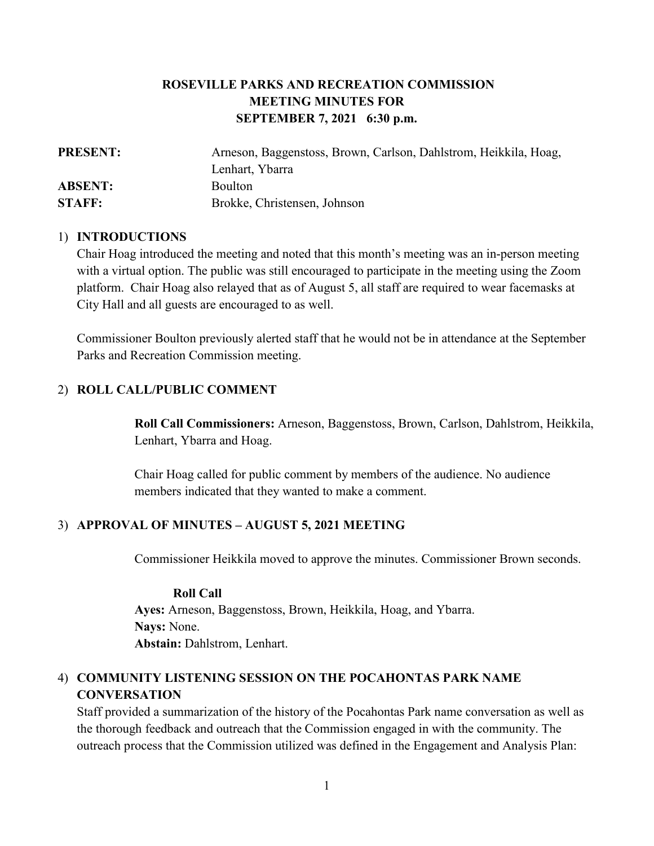# **ROSEVILLE PARKS AND RECREATION COMMISSION MEETING MINUTES FOR SEPTEMBER 7, 2021 6:30 p.m.**

| <b>PRESENT:</b> | Arneson, Baggenstoss, Brown, Carlson, Dahlstrom, Heikkila, Hoag, |
|-----------------|------------------------------------------------------------------|
|                 | Lenhart, Ybarra                                                  |
| <b>ABSENT:</b>  | <b>Boulton</b>                                                   |
| <b>STAFF:</b>   | Brokke, Christensen, Johnson                                     |

#### 1) **INTRODUCTIONS**

Chair Hoag introduced the meeting and noted that this month's meeting was an in-person meeting with a virtual option. The public was still encouraged to participate in the meeting using the Zoom platform. Chair Hoag also relayed that as of August 5, all staff are required to wear facemasks at City Hall and all guests are encouraged to as well.

Commissioner Boulton previously alerted staff that he would not be in attendance at the September Parks and Recreation Commission meeting.

#### 2) **ROLL CALL/PUBLIC COMMENT**

**Roll Call Commissioners:** Arneson, Baggenstoss, Brown, Carlson, Dahlstrom, Heikkila, Lenhart, Ybarra and Hoag.

Chair Hoag called for public comment by members of the audience. No audience members indicated that they wanted to make a comment.

#### 3) **APPROVAL OF MINUTES – AUGUST 5, 2021 MEETING**

Commissioner Heikkila moved to approve the minutes. Commissioner Brown seconds.

#### **Roll Call**

**Ayes:** Arneson, Baggenstoss, Brown, Heikkila, Hoag, and Ybarra. **Nays:** None. **Abstain:** Dahlstrom, Lenhart.

# 4) **COMMUNITY LISTENING SESSION ON THE POCAHONTAS PARK NAME CONVERSATION**

Staff provided a summarization of the history of the Pocahontas Park name conversation as well as the thorough feedback and outreach that the Commission engaged in with the community. The outreach process that the Commission utilized was defined in the Engagement and Analysis Plan: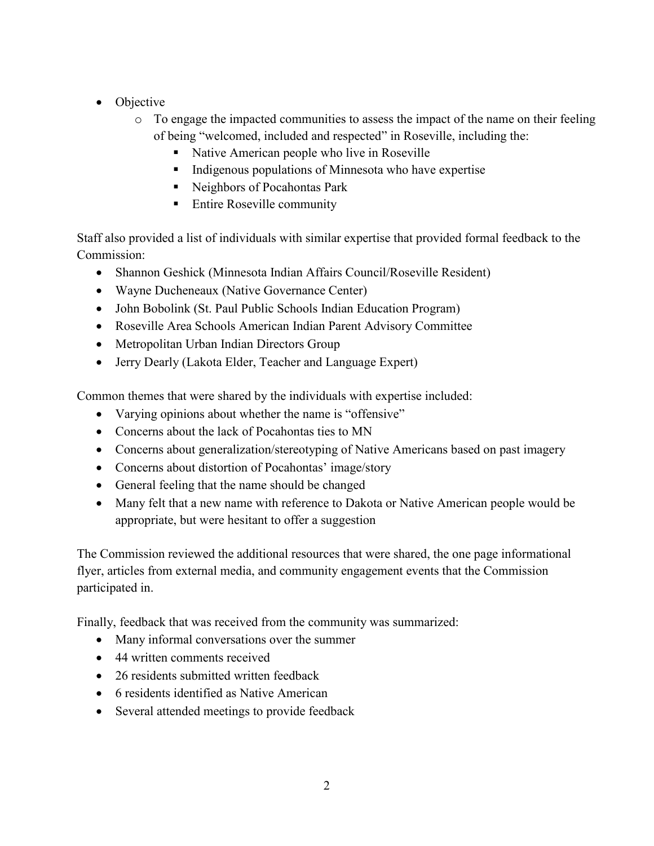- Objective
	- $\circ$  To engage the impacted communities to assess the impact of the name on their feeling of being "welcomed, included and respected" in Roseville, including the:
		- Native American people who live in Roseville
		- $\blacksquare$  Indigenous populations of Minnesota who have expertise
		- Neighbors of Pocahontas Park
		- Entire Roseville community

Staff also provided a list of individuals with similar expertise that provided formal feedback to the Commission:

- Shannon Geshick (Minnesota Indian Affairs Council/Roseville Resident)
- Wayne Ducheneaux (Native Governance Center)
- John Bobolink (St. Paul Public Schools Indian Education Program)
- Roseville Area Schools American Indian Parent Advisory Committee
- Metropolitan Urban Indian Directors Group
- Jerry Dearly (Lakota Elder, Teacher and Language Expert)

Common themes that were shared by the individuals with expertise included:

- Varying opinions about whether the name is "offensive"
- Concerns about the lack of Pocahontas ties to MN
- Concerns about generalization/stereotyping of Native Americans based on past imagery
- Concerns about distortion of Pocahontas' image/story
- General feeling that the name should be changed
- Many felt that a new name with reference to Dakota or Native American people would be appropriate, but were hesitant to offer a suggestion

The Commission reviewed the additional resources that were shared, the one page informational flyer, articles from external media, and community engagement events that the Commission participated in.

Finally, feedback that was received from the community was summarized:

- Many informal conversations over the summer
- 44 written comments received
- 26 residents submitted written feedback
- 6 residents identified as Native American
- Several attended meetings to provide feedback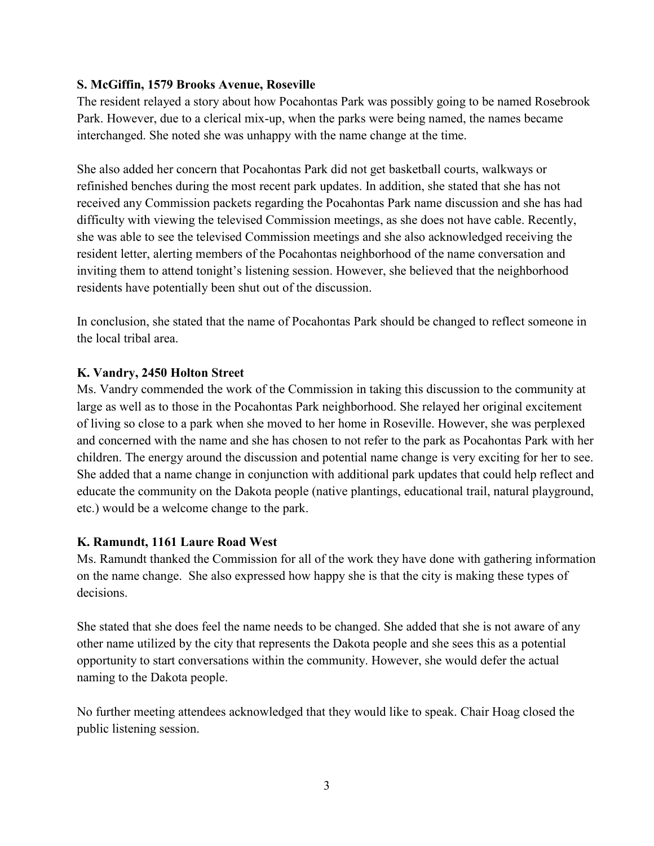## **S. McGiffin, 1579 Brooks Avenue, Roseville**

The resident relayed a story about how Pocahontas Park was possibly going to be named Rosebrook Park. However, due to a clerical mix-up, when the parks were being named, the names became interchanged. She noted she was unhappy with the name change at the time.

She also added her concern that Pocahontas Park did not get basketball courts, walkways or refinished benches during the most recent park updates. In addition, she stated that she has not received any Commission packets regarding the Pocahontas Park name discussion and she has had difficulty with viewing the televised Commission meetings, as she does not have cable. Recently, she was able to see the televised Commission meetings and she also acknowledged receiving the resident letter, alerting members of the Pocahontas neighborhood of the name conversation and inviting them to attend tonight's listening session. However, she believed that the neighborhood residents have potentially been shut out of the discussion.

In conclusion, she stated that the name of Pocahontas Park should be changed to reflect someone in the local tribal area.

### **K. Vandry, 2450 Holton Street**

Ms. Vandry commended the work of the Commission in taking this discussion to the community at large as well as to those in the Pocahontas Park neighborhood. She relayed her original excitement of living so close to a park when she moved to her home in Roseville. However, she was perplexed and concerned with the name and she has chosen to not refer to the park as Pocahontas Park with her children. The energy around the discussion and potential name change is very exciting for her to see. She added that a name change in conjunction with additional park updates that could help reflect and educate the community on the Dakota people (native plantings, educational trail, natural playground, etc.) would be a welcome change to the park.

#### **K. Ramundt, 1161 Laure Road West**

Ms. Ramundt thanked the Commission for all of the work they have done with gathering information on the name change. She also expressed how happy she is that the city is making these types of decisions.

She stated that she does feel the name needs to be changed. She added that she is not aware of any other name utilized by the city that represents the Dakota people and she sees this as a potential opportunity to start conversations within the community. However, she would defer the actual naming to the Dakota people.

No further meeting attendees acknowledged that they would like to speak. Chair Hoag closed the public listening session.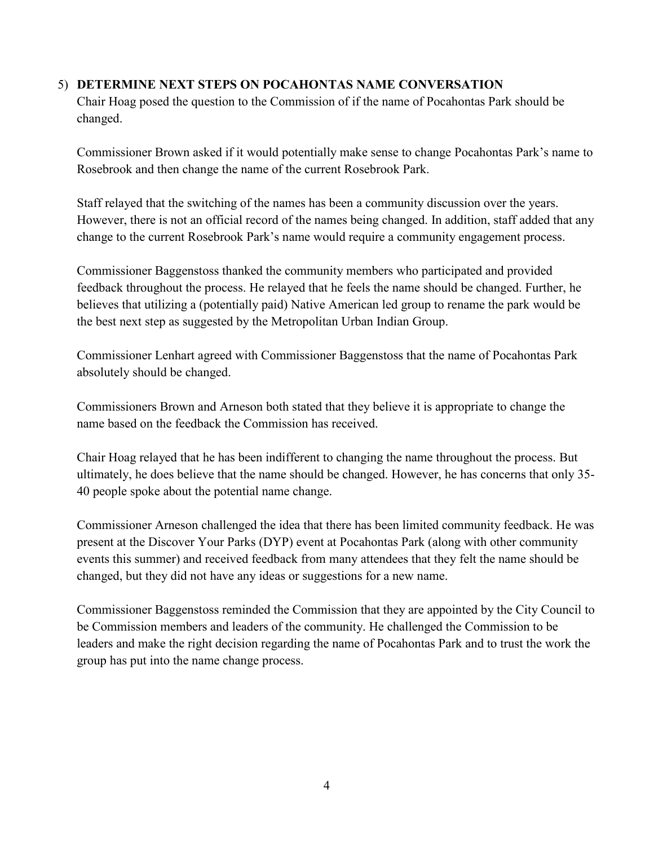## 5) **DETERMINE NEXT STEPS ON POCAHONTAS NAME CONVERSATION**

Chair Hoag posed the question to the Commission of if the name of Pocahontas Park should be changed.

Commissioner Brown asked if it would potentially make sense to change Pocahontas Park's name to Rosebrook and then change the name of the current Rosebrook Park.

Staff relayed that the switching of the names has been a community discussion over the years. However, there is not an official record of the names being changed. In addition, staff added that any change to the current Rosebrook Park's name would require a community engagement process.

Commissioner Baggenstoss thanked the community members who participated and provided feedback throughout the process. He relayed that he feels the name should be changed. Further, he believes that utilizing a (potentially paid) Native American led group to rename the park would be the best next step as suggested by the Metropolitan Urban Indian Group.

Commissioner Lenhart agreed with Commissioner Baggenstoss that the name of Pocahontas Park absolutely should be changed.

Commissioners Brown and Arneson both stated that they believe it is appropriate to change the name based on the feedback the Commission has received.

Chair Hoag relayed that he has been indifferent to changing the name throughout the process. But ultimately, he does believe that the name should be changed. However, he has concerns that only 35- 40 people spoke about the potential name change.

Commissioner Arneson challenged the idea that there has been limited community feedback. He was present at the Discover Your Parks (DYP) event at Pocahontas Park (along with other community events this summer) and received feedback from many attendees that they felt the name should be changed, but they did not have any ideas or suggestions for a new name.

Commissioner Baggenstoss reminded the Commission that they are appointed by the City Council to be Commission members and leaders of the community. He challenged the Commission to be leaders and make the right decision regarding the name of Pocahontas Park and to trust the work the group has put into the name change process.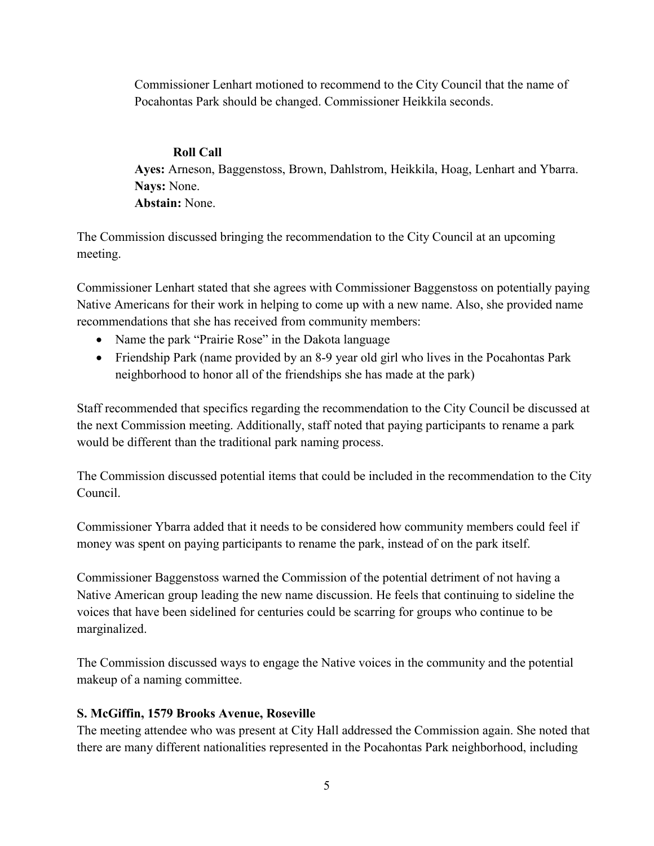Commissioner Lenhart motioned to recommend to the City Council that the name of Pocahontas Park should be changed. Commissioner Heikkila seconds.

## **Roll Call**

**Ayes:** Arneson, Baggenstoss, Brown, Dahlstrom, Heikkila, Hoag, Lenhart and Ybarra. **Nays:** None. **Abstain:** None.

The Commission discussed bringing the recommendation to the City Council at an upcoming meeting.

Commissioner Lenhart stated that she agrees with Commissioner Baggenstoss on potentially paying Native Americans for their work in helping to come up with a new name. Also, she provided name recommendations that she has received from community members:

- Name the park "Prairie Rose" in the Dakota language
- Friendship Park (name provided by an 8-9 year old girl who lives in the Pocahontas Park neighborhood to honor all of the friendships she has made at the park)

Staff recommended that specifics regarding the recommendation to the City Council be discussed at the next Commission meeting. Additionally, staff noted that paying participants to rename a park would be different than the traditional park naming process.

The Commission discussed potential items that could be included in the recommendation to the City Council.

Commissioner Ybarra added that it needs to be considered how community members could feel if money was spent on paying participants to rename the park, instead of on the park itself.

Commissioner Baggenstoss warned the Commission of the potential detriment of not having a Native American group leading the new name discussion. He feels that continuing to sideline the voices that have been sidelined for centuries could be scarring for groups who continue to be marginalized.

The Commission discussed ways to engage the Native voices in the community and the potential makeup of a naming committee.

## **S. McGiffin, 1579 Brooks Avenue, Roseville**

The meeting attendee who was present at City Hall addressed the Commission again. She noted that there are many different nationalities represented in the Pocahontas Park neighborhood, including